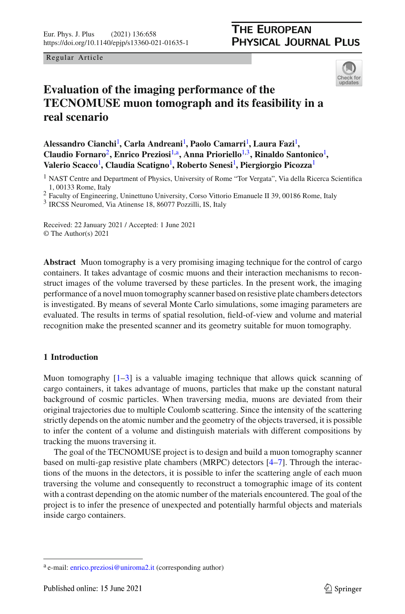<span id="page-0-1"></span>

# **Evaluation of the imaging performance of the TECNOMUSE muon tomograph and its feasibility in a real scenario**

**Alessandro Cianchi**[1](#page-0-0) **, Carla Andreani**[1](#page-0-0) **, Paolo Camarri**[1](#page-0-0) **, Laura Fazi**[1](#page-0-0) **, Claudio Fornaro**[2](#page-0-0)**, Enrico Preziosi**[1,](#page-0-0)a**, Anna Prioriello**[1](#page-0-0)[,3](#page-0-1)**, Rinaldo Santonico**[1](#page-0-0) **, Valerio Scacco**[1](#page-0-0) **, Claudia Scatigno**[1](#page-0-0) **, Roberto Senesi**[1](#page-0-0) **, Piergiorgio Picozza**[1](#page-0-0)

<span id="page-0-0"></span><sup>1</sup> NAST Centre and Department of Physics, University of Rome "Tor Vergata", Via della Ricerca Scientifica 1, 00133 Rome, Italy

<sup>2</sup> Faculty of Engineering, Uninettuno University, Corso Vittorio Emanuele II 39, 00186 Rome, Italy

<sup>3</sup> IRCSS Neuromed, Via Atinense 18, 86077 Pozzilli, IS, Italy

Received: 22 January 2021 / Accepted: 1 June 2021 © The Author(s) 2021

**Abstract** Muon tomography is a very promising imaging technique for the control of cargo containers. It takes advantage of cosmic muons and their interaction mechanisms to reconstruct images of the volume traversed by these particles. In the present work, the imaging performance of a novel muon tomography scanner based on resistive plate chambers detectors is investigated. By means of several Monte Carlo simulations, some imaging parameters are evaluated. The results in terms of spatial resolution, field-of-view and volume and material recognition make the presented scanner and its geometry suitable for muon tomography.

# **1 Introduction**

Muon tomography  $[1-3]$  $[1-3]$  is a valuable imaging technique that allows quick scanning of cargo containers, it takes advantage of muons, particles that make up the constant natural background of cosmic particles. When traversing media, muons are deviated from their original trajectories due to multiple Coulomb scattering. Since the intensity of the scattering strictly depends on the atomic number and the geometry of the objects traversed, it is possible to infer the content of a volume and distinguish materials with different compositions by tracking the muons traversing it.

The goal of the TECNOMUSE project is to design and build a muon tomography scanner based on multi-gap resistive plate chambers (MRPC) detectors [\[4](#page-9-2)[–7](#page-10-0)]. Through the interactions of the muons in the detectors, it is possible to infer the scattering angle of each muon traversing the volume and consequently to reconstruct a tomographic image of its content with a contrast depending on the atomic number of the materials encountered. The goal of the project is to infer the presence of unexpected and potentially harmful objects and materials inside cargo containers.

<sup>a</sup> e-mail: [enrico.preziosi@uniroma2.it](mailto:enrico.preziosi@uniroma2.it) (corresponding author)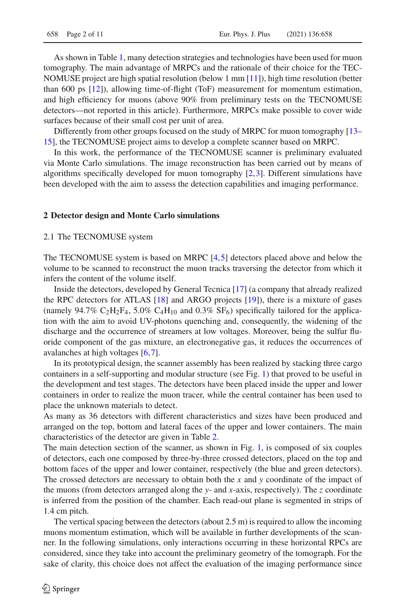As shown in Table [1,](#page-2-0) many detection strategies and technologies have been used for muon tomography. The main advantage of MRPCs and the rationale of their choice for the TEC-NOMUSE project are high spatial resolution (below 1 mm [\[11](#page-10-1)]), high time resolution (better than 600 ps [\[12\]](#page-10-2)), allowing time-of-flight (ToF) measurement for momentum estimation, and high efficiency for muons (above 90% from preliminary tests on the TECNOMUSE detectors—not reported in this article). Furthermore, MRPCs make possible to cover wide surfaces because of their small cost per unit of area.

Differently from other groups focused on the study of MRPC for muon tomography [\[13](#page-10-3)– [15\]](#page-10-4), the TECNOMUSE project aims to develop a complete scanner based on MRPC.

In this work, the performance of the TECNOMUSE scanner is preliminary evaluated via Monte Carlo simulations. The image reconstruction has been carried out by means of algorithms specifically developed for muon tomography [\[2,](#page-9-3)[3](#page-9-1)]. Different simulations have been developed with the aim to assess the detection capabilities and imaging performance.

#### **2 Detector design and Monte Carlo simulations**

#### 2.1 The TECNOMUSE system

The TECNOMUSE system is based on MRPC [\[4](#page-9-2),[5](#page-10-5)] detectors placed above and below the volume to be scanned to reconstruct the muon tracks traversing the detector from which it infers the content of the volume itself.

Inside the detectors, developed by General Tecnica [\[17\]](#page-10-6) (a company that already realized the RPC detectors for ATLAS [\[18\]](#page-10-7) and ARGO projects [\[19](#page-10-8)]), there is a mixture of gases (namely  $94.7\%$  C<sub>2</sub>H<sub>2</sub>F<sub>4</sub>, 5.0% C<sub>4</sub>H<sub>10</sub> and 0.3% SF<sub>6</sub>) specifically tailored for the application with the aim to avoid UV-photons quenching and, consequently, the widening of the discharge and the occurrence of streamers at low voltages. Moreover, being the sulfur fluoride component of the gas mixture, an electronegative gas, it reduces the occurrences of avalanches at high voltages [\[6,](#page-10-9)[7](#page-10-0)].

In its prototypical design, the scanner assembly has been realized by stacking three cargo containers in a self-supporting and modular structure (see Fig. [1\)](#page-2-1) that proved to be useful in the development and test stages. The detectors have been placed inside the upper and lower containers in order to realize the muon tracer, while the central container has been used to place the unknown materials to detect.

As many as 36 detectors with different characteristics and sizes have been produced and arranged on the top, bottom and lateral faces of the upper and lower containers. The main characteristics of the detector are given in Table [2.](#page-3-0)

The main detection section of the scanner, as shown in Fig. [1,](#page-2-1) is composed of six couples of detectors, each one composed by three-by-three crossed detectors, placed on the top and bottom faces of the upper and lower container, respectively (the blue and green detectors). The crossed detectors are necessary to obtain both the *x* and *y* coordinate of the impact of the muons (from detectors arranged along the *y*- and *x*-axis, respectively). The *z* coordinate is inferred from the position of the chamber. Each read-out plane is segmented in strips of 1.4 cm pitch.

The vertical spacing between the detectors (about 2.5 m) is required to allow the incoming muons momentum estimation, which will be available in further developments of the scanner. In the following simulations, only interactions occurring in these horizontal RPCs are considered, since they take into account the preliminary geometry of the tomograph. For the sake of clarity, this choice does not affect the evaluation of the imaging performance since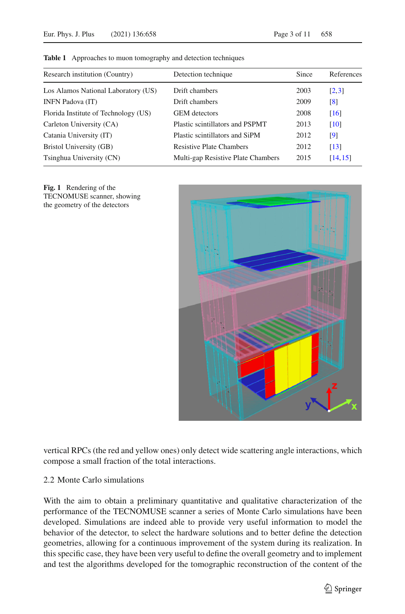| Research institution (Country)       | Detection technique                | Since | References        |
|--------------------------------------|------------------------------------|-------|-------------------|
| Los Alamos National Laboratory (US)  | Drift chambers                     | 2003  | [2,3]             |
| <b>INFN Padova (IT)</b>              | Drift chambers                     | 2009  | $\lceil 8 \rceil$ |
| Florida Institute of Technology (US) | <b>GEM</b> detectors               | 2008  | [16]              |
| Carleton University (CA)             | Plastic scintillators and PSPMT    | 2013  | [10]              |
| Catania University (IT)              | Plastic scintillators and SiPM     | 2012  | $\lceil 9 \rceil$ |
| Bristol University (GB)              | <b>Resistive Plate Chambers</b>    | 2012  | [13]              |
| Tsinghua University (CN)             | Multi-gap Resistive Plate Chambers | 2015  | [14, 15]          |

<span id="page-2-0"></span>**Table 1** Approaches to muon tomography and detection techniques

<span id="page-2-1"></span>



vertical RPCs (the red and yellow ones) only detect wide scattering angle interactions, which compose a small fraction of the total interactions.

# 2.2 Monte Carlo simulations

With the aim to obtain a preliminary quantitative and qualitative characterization of the performance of the TECNOMUSE scanner a series of Monte Carlo simulations have been developed. Simulations are indeed able to provide very useful information to model the behavior of the detector, to select the hardware solutions and to better define the detection geometries, allowing for a continuous improvement of the system during its realization. In this specific case, they have been very useful to define the overall geometry and to implement and test the algorithms developed for the tomographic reconstruction of the content of the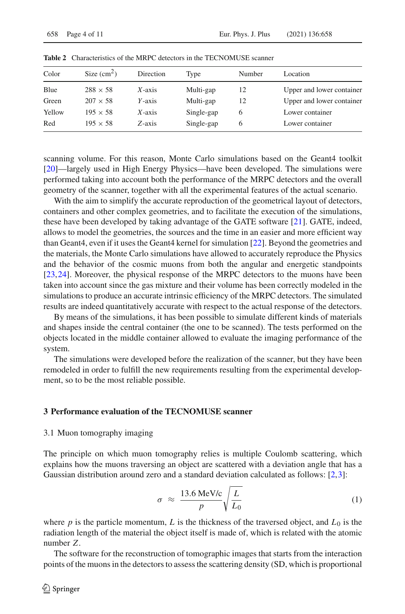| Color  | Size $(cm2)$    | Direction | Type       | Number | Location                  |
|--------|-----------------|-----------|------------|--------|---------------------------|
| Blue   | $288 \times 58$ | $X$ -axis | Multi-gap  | 12     | Upper and lower container |
| Green  | $207 \times 58$ | $Y$ -axis | Multi-gap  | 12     | Upper and lower container |
| Yellow | $195 \times 58$ | $X$ -axis | Single-gap | O      | Lower container           |
| Red    | $195 \times 58$ | Z-axis    | Single-gap | O      | Lower container           |
|        |                 |           |            |        |                           |

<span id="page-3-0"></span>**Table 2** Characteristics of the MRPC detectors in the TECNOMUSE scanner

scanning volume. For this reason, Monte Carlo simulations based on the Geant4 toolkit [\[20\]](#page-10-15)—largely used in High Energy Physics—have been developed. The simulations were performed taking into account both the performance of the MRPC detectors and the overall geometry of the scanner, together with all the experimental features of the actual scenario.

With the aim to simplify the accurate reproduction of the geometrical layout of detectors, containers and other complex geometries, and to facilitate the execution of the simulations, these have been developed by taking advantage of the GATE software [\[21](#page-10-16)]. GATE, indeed, allows to model the geometries, the sources and the time in an easier and more efficient way than Geant4, even if it uses the Geant4 kernel for simulation [\[22](#page-10-17)]. Beyond the geometries and the materials, the Monte Carlo simulations have allowed to accurately reproduce the Physics and the behavior of the cosmic muons from both the angular and energetic standpoints [\[23,](#page-10-18)[24](#page-10-19)]. Moreover, the physical response of the MRPC detectors to the muons have been taken into account since the gas mixture and their volume has been correctly modeled in the simulations to produce an accurate intrinsic efficiency of the MRPC detectors. The simulated results are indeed quantitatively accurate with respect to the actual response of the detectors.

By means of the simulations, it has been possible to simulate different kinds of materials and shapes inside the central container (the one to be scanned). The tests performed on the objects located in the middle container allowed to evaluate the imaging performance of the system.

The simulations were developed before the realization of the scanner, but they have been remodeled in order to fulfill the new requirements resulting from the experimental development, so to be the most reliable possible.

#### **3 Performance evaluation of the TECNOMUSE scanner**

#### 3.1 Muon tomography imaging

The principle on which muon tomography relies is multiple Coulomb scattering, which explains how the muons traversing an object are scattered with a deviation angle that has a Gaussian distribution around zero and a standard deviation calculated as follows: [\[2,](#page-9-3)[3\]](#page-9-1):

$$
\sigma \approx \frac{13.6 \text{ MeV/c}}{p} \sqrt{\frac{L}{L_0}}
$$
 (1)

where  $p$  is the particle momentum,  $L$  is the thickness of the traversed object, and  $L_0$  is the radiation length of the material the object itself is made of, which is related with the atomic number *Z*.

The software for the reconstruction of tomographic images that starts from the interaction points of the muons in the detectors to assess the scattering density (SD, which is proportional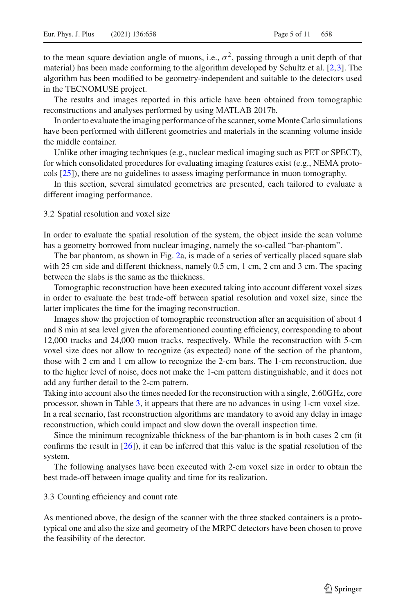to the mean square deviation angle of muons, i.e.,  $\sigma^2$ , passing through a unit depth of that material) has been made conforming to the algorithm developed by Schultz et al. [\[2,](#page-9-3)[3](#page-9-1)]. The algorithm has been modified to be geometry-independent and suitable to the detectors used in the TECNOMUSE project.

The results and images reported in this article have been obtained from tomographic reconstructions and analyses performed by using MATLAB 2017b.

In order to evaluate the imaging performance of the scanner, some Monte Carlo simulations have been performed with different geometries and materials in the scanning volume inside the middle container.

Unlike other imaging techniques (e.g., nuclear medical imaging such as PET or SPECT), for which consolidated procedures for evaluating imaging features exist (e.g., NEMA protocols [\[25](#page-10-20)]), there are no guidelines to assess imaging performance in muon tomography.

In this section, several simulated geometries are presented, each tailored to evaluate a different imaging performance.

### <span id="page-4-0"></span>3.2 Spatial resolution and voxel size

In order to evaluate the spatial resolution of the system, the object inside the scan volume has a geometry borrowed from nuclear imaging, namely the so-called "bar-phantom".

The bar phantom, as shown in Fig. [2a](#page-5-0), is made of a series of vertically placed square slab with 25 cm side and different thickness, namely 0.5 cm, 1 cm, 2 cm and 3 cm. The spacing between the slabs is the same as the thickness.

Tomographic reconstruction have been executed taking into account different voxel sizes in order to evaluate the best trade-off between spatial resolution and voxel size, since the latter implicates the time for the imaging reconstruction.

Images show the projection of tomographic reconstruction after an acquisition of about 4 and 8 min at sea level given the aforementioned counting efficiency, corresponding to about 12,000 tracks and 24,000 muon tracks, respectively. While the reconstruction with 5-cm voxel size does not allow to recognize (as expected) none of the section of the phantom, those with 2 cm and 1 cm allow to recognize the 2-cm bars. The 1-cm reconstruction, due to the higher level of noise, does not make the 1-cm pattern distinguishable, and it does not add any further detail to the 2-cm pattern.

Taking into account also the times needed for the reconstruction with a single, 2.60GHz, core processor, shown in Table [3,](#page-5-1) it appears that there are no advances in using 1-cm voxel size. In a real scenario, fast reconstruction algorithms are mandatory to avoid any delay in image

reconstruction, which could impact and slow down the overall inspection time.

Since the minimum recognizable thickness of the bar-phantom is in both cases 2 cm (it confirms the result in [\[26\]](#page-10-21)), it can be inferred that this value is the spatial resolution of the system.

The following analyses have been executed with 2-cm voxel size in order to obtain the best trade-off between image quality and time for its realization.

## <span id="page-4-1"></span>3.3 Counting efficiency and count rate

As mentioned above, the design of the scanner with the three stacked containers is a prototypical one and also the size and geometry of the MRPC detectors have been chosen to prove the feasibility of the detector.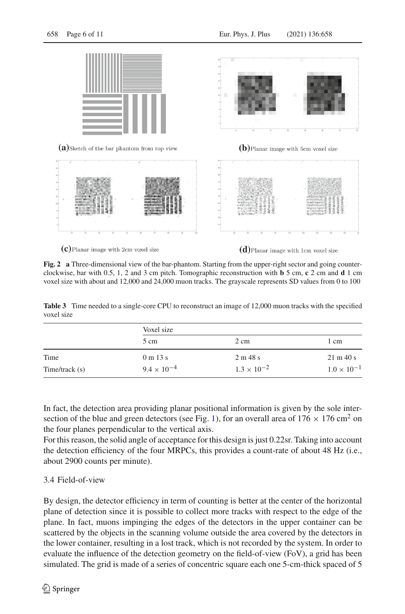

<span id="page-5-0"></span> $(c)$ Planar image with 2cm voxel size

 $(d)$ Planar image with 1cm voxel size

**Fig. 2 a** Three-dimensional view of the bar-phantom. Starting from the upper-right sector and going counterclockwise, bar with 0.5, 1, 2 and 3 cm pitch. Tomographic reconstruction with **b** 5 cm, **c** 2 cm and **d** 1 cm voxel size with about and 12,000 and 24,000 muon tracks. The grayscale represents SD values from 0 to 100

<span id="page-5-1"></span>**Table 3** Time needed to a single-core CPU to reconstruct an image of 12,000 muon tracks with the specified voxel size

|                     | Voxel size           |                      |                              |  |  |
|---------------------|----------------------|----------------------|------------------------------|--|--|
|                     | 5 cm                 | $2 \text{ cm}$       | 1 cm                         |  |  |
| Time                | 0 m 13 s             | 2 m 48 s             | $21 \text{ m } 40 \text{ s}$ |  |  |
| $Time$ /track $(s)$ | $9.4 \times 10^{-4}$ | $1.3 \times 10^{-2}$ | $1.0 \times 10^{-1}$         |  |  |

In fact, the detection area providing planar positional information is given by the sole inter-section of the blue and green detectors (see Fig. [1\)](#page-2-1), for an overall area of  $176 \times 176$  cm<sup>2</sup> on the four planes perpendicular to the vertical axis.

For this reason, the solid angle of acceptance for this design is just 0.22sr. Taking into account the detection efficiency of the four MRPCs, this provides a count-rate of about 48 Hz (i.e., about 2900 counts per minute).

# <span id="page-5-2"></span>3.4 Field-of-view

By design, the detector efficiency in term of counting is better at the center of the horizontal plane of detection since it is possible to collect more tracks with respect to the edge of the plane. In fact, muons impinging the edges of the detectors in the upper container can be scattered by the objects in the scanning volume outside the area covered by the detectors in the lower container, resulting in a lost track, which is not recorded by the system. In order to evaluate the influence of the detection geometry on the field-of-view (FoV), a grid has been simulated. The grid is made of a series of concentric square each one 5-cm-thick spaced of 5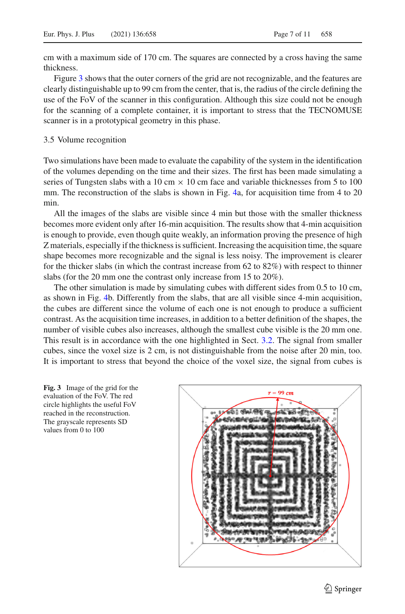cm with a maximum side of 170 cm. The squares are connected by a cross having the same thickness.

Figure [3](#page-6-0) shows that the outer corners of the grid are not recognizable, and the features are clearly distinguishable up to 99 cm from the center, that is, the radius of the circle defining the use of the FoV of the scanner in this configuration. Although this size could not be enough for the scanning of a complete container, it is important to stress that the TECNOMUSE scanner is in a prototypical geometry in this phase.

## <span id="page-6-1"></span>3.5 Volume recognition

Two simulations have been made to evaluate the capability of the system in the identification of the volumes depending on the time and their sizes. The first has been made simulating a series of Tungsten slabs with a 10 cm  $\times$  10 cm face and variable thicknesses from 5 to 100 mm. The reconstruction of the slabs is shown in Fig. [4a](#page-7-0), for acquisition time from 4 to 20 min.

All the images of the slabs are visible since 4 min but those with the smaller thickness becomes more evident only after 16-min acquisition. The results show that 4-min acquisition is enough to provide, even though quite weakly, an information proving the presence of high Z materials, especially if the thickness is sufficient. Increasing the acquisition time, the square shape becomes more recognizable and the signal is less noisy. The improvement is clearer for the thicker slabs (in which the contrast increase from 62 to 82%) with respect to thinner slabs (for the 20 mm one the contrast only increase from 15 to 20%).

The other simulation is made by simulating cubes with different sides from 0.5 to 10 cm, as shown in Fig. [4b](#page-7-0). Differently from the slabs, that are all visible since 4-min acquisition, the cubes are different since the volume of each one is not enough to produce a sufficient contrast. As the acquisition time increases, in addition to a better definition of the shapes, the number of visible cubes also increases, although the smallest cube visible is the 20 mm one. This result is in accordance with the one highlighted in Sect. [3.2.](#page-4-0) The signal from smaller cubes, since the voxel size is 2 cm, is not distinguishable from the noise after 20 min, too. It is important to stress that beyond the choice of the voxel size, the signal from cubes is

<span id="page-6-0"></span>

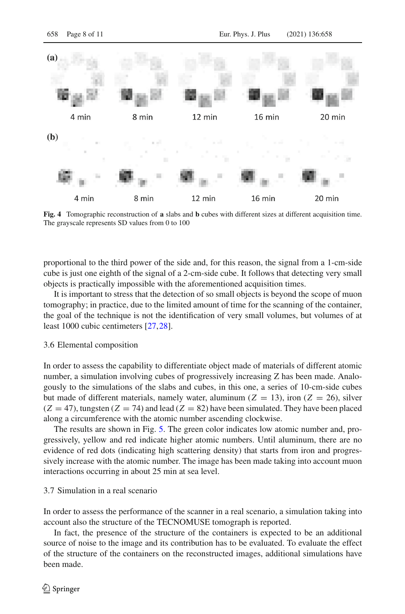

<span id="page-7-0"></span>**Fig. 4** Tomographic reconstruction of **a** slabs and **b** cubes with different sizes at different acquisition time. The grayscale represents SD values from 0 to 100

proportional to the third power of the side and, for this reason, the signal from a 1-cm-side cube is just one eighth of the signal of a 2-cm-side cube. It follows that detecting very small objects is practically impossible with the aforementioned acquisition times.

It is important to stress that the detection of so small objects is beyond the scope of muon tomography; in practice, due to the limited amount of time for the scanning of the container, the goal of the technique is not the identification of very small volumes, but volumes of at least 1000 cubic centimeters [\[27,](#page-10-22)[28](#page-10-23)].

#### <span id="page-7-1"></span>3.6 Elemental composition

In order to assess the capability to differentiate object made of materials of different atomic number, a simulation involving cubes of progressively increasing Z has been made. Analogously to the simulations of the slabs and cubes, in this one, a series of 10-cm-side cubes but made of different materials, namely water, aluminum ( $Z = 13$ ), iron ( $Z = 26$ ), silver  $(Z = 47)$ , tungsten  $(Z = 74)$  and lead  $(Z = 82)$  have been simulated. They have been placed along a circumference with the atomic number ascending clockwise.

The results are shown in Fig. [5.](#page-8-0) The green color indicates low atomic number and, progressively, yellow and red indicate higher atomic numbers. Until aluminum, there are no evidence of red dots (indicating high scattering density) that starts from iron and progressively increase with the atomic number. The image has been made taking into account muon interactions occurring in about 25 min at sea level.

# <span id="page-7-2"></span>3.7 Simulation in a real scenario

In order to assess the performance of the scanner in a real scenario, a simulation taking into account also the structure of the TECNOMUSE tomograph is reported.

In fact, the presence of the structure of the containers is expected to be an additional source of noise to the image and its contribution has to be evaluated. To evaluate the effect of the structure of the containers on the reconstructed images, additional simulations have been made.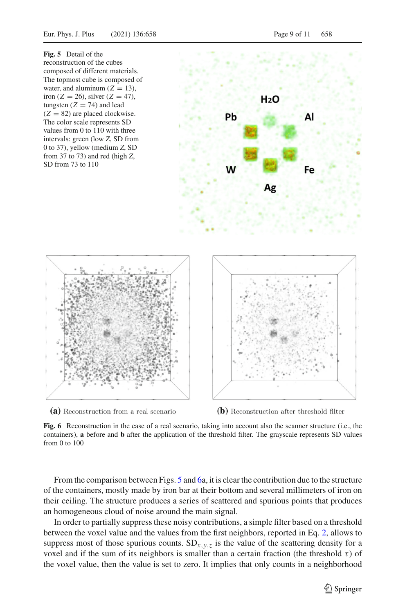<span id="page-8-0"></span>





<span id="page-8-1"></span>

(b) Reconstruction after threshold filter

**Fig. 6** Reconstruction in the case of a real scenario, taking into account also the scanner structure (i.e., the containers), **a** before and **b** after the application of the threshold filter. The grayscale represents SD values from 0 to 100

From the comparison between Figs. [5](#page-8-0) and [6a](#page-8-1), it is clear the contribution due to the structure of the containers, mostly made by iron bar at their bottom and several millimeters of iron on their ceiling. The structure produces a series of scattered and spurious points that produces an homogeneous cloud of noise around the main signal.

In order to partially suppress these noisy contributions, a simple filter based on a threshold between the voxel value and the values from the first neighbors, reported in Eq. [2,](#page-9-4) allows to suppress most of those spurious counts.  $SD_{x,y,z}$  is the value of the scattering density for a voxel and if the sum of its neighbors is smaller than a certain fraction (the threshold  $\tau$ ) of the voxel value, then the value is set to zero. It implies that only counts in a neighborhood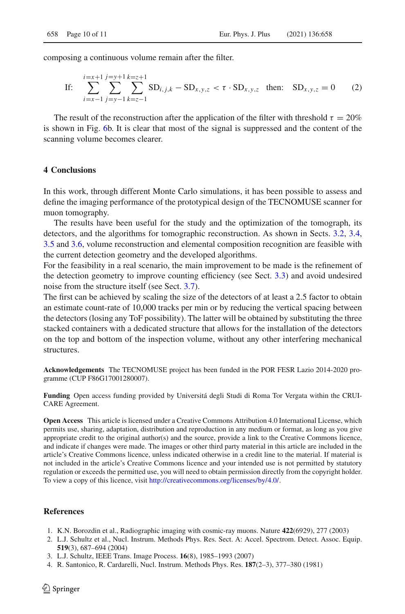composing a continuous volume remain after the filter.

<span id="page-9-4"></span>If: 
$$
\sum_{i=x-1}^{i=x+1} \sum_{j=y-1}^{j=y+1} \sum_{k=z-1}^{k=z+1} SD_{i,j,k} - SD_{x,y,z} < \tau \cdot SD_{x,y,z}
$$
 then:  $SD_{x,y,z} = 0$  (2)

The result of the reconstruction after the application of the filter with threshold  $\tau = 20\%$ is shown in Fig. [6b](#page-8-1). It is clear that most of the signal is suppressed and the content of the scanning volume becomes clearer.

## **4 Conclusions**

In this work, through different Monte Carlo simulations, it has been possible to assess and define the imaging performance of the prototypical design of the TECNOMUSE scanner for muon tomography.

The results have been useful for the study and the optimization of the tomograph, its detectors, and the algorithms for tomographic reconstruction. As shown in Sects. [3.2,](#page-4-0) [3.4,](#page-5-2) [3.5](#page-6-1) and [3.6,](#page-7-1) volume reconstruction and elemental composition recognition are feasible with the current detection geometry and the developed algorithms.

For the feasibility in a real scenario, the main improvement to be made is the refinement of the detection geometry to improve counting efficiency (see Sect. [3.3\)](#page-4-1) and avoid undesired noise from the structure itself (see Sect. [3.7\)](#page-7-2).

The first can be achieved by scaling the size of the detectors of at least a 2.5 factor to obtain an estimate count-rate of 10,000 tracks per min or by reducing the vertical spacing between the detectors (losing any ToF possibility). The latter will be obtained by substituting the three stacked containers with a dedicated structure that allows for the installation of the detectors on the top and bottom of the inspection volume, without any other interfering mechanical structures.

**Acknowledgements** The TECNOMUSE project has been funded in the POR FESR Lazio 2014-2020 programme (CUP F86G17001280007).

**Funding** Open access funding provided by Universitá degli Studi di Roma Tor Vergata within the CRUI-CARE Agreement.

**Open Access** This article is licensed under a Creative Commons Attribution 4.0 International License, which permits use, sharing, adaptation, distribution and reproduction in any medium or format, as long as you give appropriate credit to the original author(s) and the source, provide a link to the Creative Commons licence, and indicate if changes were made. The images or other third party material in this article are included in the article's Creative Commons licence, unless indicated otherwise in a credit line to the material. If material is not included in the article's Creative Commons licence and your intended use is not permitted by statutory regulation or exceeds the permitted use, you will need to obtain permission directly from the copyright holder. To view a copy of this licence, visit [http://creativecommons.org/licenses/by/4.0/.](http://creativecommons.org/licenses/by/4.0/)

## **References**

- <span id="page-9-0"></span>1. K.N. Borozdin et al., Radiographic imaging with cosmic-ray muons. Nature **422**(6929), 277 (2003)
- <span id="page-9-3"></span>2. L.J. Schultz et al., Nucl. Instrum. Methods Phys. Res. Sect. A: Accel. Spectrom. Detect. Assoc. Equip. **519**(3), 687–694 (2004)
- <span id="page-9-1"></span>3. L.J. Schultz, IEEE Trans. Image Process. **16**(8), 1985–1993 (2007)
- <span id="page-9-2"></span>4. R. Santonico, R. Cardarelli, Nucl. Instrum. Methods Phys. Res. **187**(2–3), 377–380 (1981)